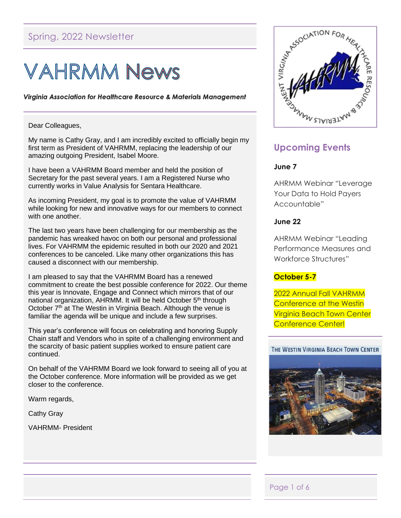# Spring, 2022 Newsletter

# **VAHRMM News**

Virginia Association for Healthcare Resource & Materials Management

#### Dear Colleagues,

My name is Cathy Gray, and I am incredibly excited to officially begin my first term as President of VAHRMM, replacing the leadership of our amazing outgoing President, Isabel Moore.

I have been a VAHRMM Board member and held the position of Secretary for the past several years. I am a Registered Nurse who currently works in Value Analysis for Sentara Healthcare.

As incoming President, my goal is to promote the value of VAHRMM while looking for new and innovative ways for our members to connect with one another.

The last two years have been challenging for our membership as the pandemic has wreaked havoc on both our personal and professional lives. For VAHRMM the epidemic resulted in both our 2020 and 2021 conferences to be canceled. Like many other organizations this has caused a disconnect with our membership.

I am pleased to say that the VAHRMM Board has a renewed commitment to create the best possible conference for 2022. Our theme this year is Innovate, Engage and Connect which mirrors that of our national organization, AHRMM. It will be held October 5<sup>th</sup> through October 7<sup>th</sup> at The Westin in Virginia Beach. Although the venue is familiar the agenda will be unique and include a few surprises.

This year's conference will focus on celebrating and honoring Supply Chain staff and Vendors who in spite of a challenging environment and the scarcity of basic patient supplies worked to ensure patient care continued.

On behalf of the VAHRMM Board we look forward to seeing all of you at the October conference. More information will be provided as we get closer to the conference.

Warm regards,

Cathy Gray

VAHRMM- President



# **Upcoming Events**

#### **June 7**

AHRMM Webinar "Leverage Your Data to Hold Payers Accountable"

#### **June 22**

AHRMM Webinar "Leading Performance Measures and Workforce Structures"

## **October 5-7**

2022 Annual Fall VAHRMM Conference at the Westin Virginia Beach Town Center Conference Center!

#### THE WESTIN VIRGINIA BEACH TOWN CENTER



## Page 1 of 6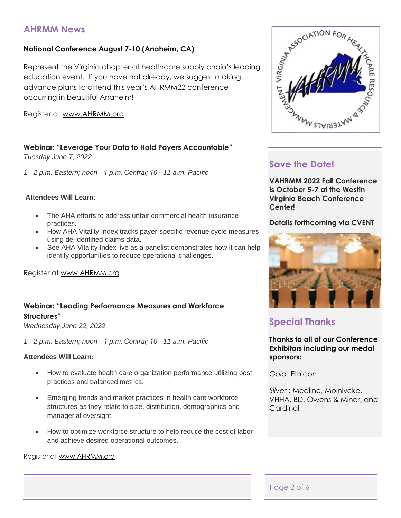# **AHRMM News**

## **National Conference August 7-10 (Anaheim, CA)**

Represent the Virginia chapter at healthcare supply chain's leading education event. If you have not already, we suggest making advance plans to attend this year's AHRMM22 conference occurring in beautiful Anaheim!

Register at [www.AHRMM.org](http://www.ahrmm.org/)

## **Webinar: "Leverage Your Data to Hold Payers Accountable"**

*Tuesday June 7, 2022*

*1 - 2 p.m. Eastern; noon - 1 p.m. Central; 10 - 11 a.m. Pacific*

#### **Attendees Will Learn**:

- The AHA efforts to address unfair commercial health insurance practices.
- How AHA Vitality Index tracks payer-specific revenue cycle measures using de-identified claims data.
- See AHA Vitality Index live as a panelist demonstrates how it can help identify opportunities to reduce operational challenges.

Register at [www.AHRMM.org](http://www.ahrmm.org/)

# **Webinar: "Leading Performance Measures and Workforce Structures"**

*Wednesday June 22, 2022*

*1 - 2 p.m. Eastern; noon - 1 p.m. Central; 10 - 11 a.m. Pacific*

#### **Attendees Will Learn:**

- How to evaluate health care organization performance utilizing best practices and balanced metrics.
- Emerging trends and market practices in health care workforce structures as they relate to size, distribution, demographics and managerial oversight.
- How to optimize workforce structure to help reduce the cost of labor and achieve desired operational outcomes.

#### Register at [www.AHRMM.org](http://www.ahrmm.org/)



# **Save the Date!**

**VAHRMM 2022 Fall Conference is October 5-7 at the Westin Virginia Beach Conference Center!** 

## **Details forthcoming via CVENT**



# **Special Thanks**

**Thanks to all of our Conference Exhibitors including our medal sponsors:**

*Gold*: Ethicon

*Silver* : Medline, Molnlycke, VHHA, BD, Owens & Minor, and **Cardinal** 

## Page 2 of 6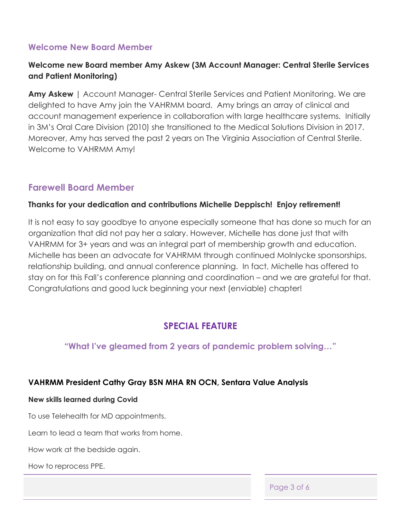## **Welcome New Board Member**

# **Welcome new Board member Amy Askew (3M Account Manager: Central Sterile Services and Patient Monitoring)**

**Amy Askew** | Account Manager- Central Sterile Services and Patient Monitoring. We are delighted to have Amy join the VAHRMM board. Amy brings an array of clinical and account management experience in collaboration with large healthcare systems. Initially in 3M's Oral Care Division (2010) she transitioned to the Medical Solutions Division in 2017. Moreover, Amy has served the past 2 years on The Virginia Association of Central Sterile. Welcome to VAHRMM Amy!

# **Farewell Board Member**

## **Thanks for your dedication and contributions Michelle Deppisch! Enjoy retirement!**

It is not easy to say goodbye to anyone especially someone that has done so much for an organization that did not pay her a salary. However, Michelle has done just that with VAHRMM for 3+ years and was an integral part of membership growth and education. Michelle has been an advocate for VAHRMM through continued Molnlycke sponsorships, relationship building, and annual conference planning. In fact, Michelle has offered to stay on for this Fall's conference planning and coordination – and we are grateful for that. Congratulations and good luck beginning your next (enviable) chapter!

# **SPECIAL FEATURE**

## **"What I've gleamed from 2 years of pandemic problem solving…"**

## **VAHRMM President Cathy Gray BSN MHA RN OCN, Sentara Value Analysis**

## **New skills learned during Covid**

To use Telehealth for MD appointments.

Learn to lead a team that works from home.

How work at the bedside again.

How to reprocess PPE.

Page 3 of 6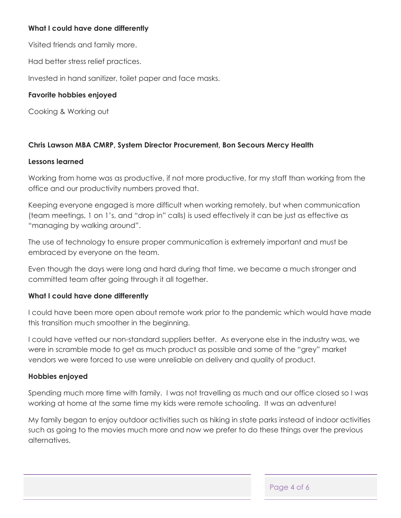## **What I could have done differently**

Visited friends and family more.

Had better stress relief practices.

Invested in hand sanitizer, toilet paper and face masks.

## **Favorite hobbies enjoyed**

Cooking & Working out

## **Chris Lawson MBA CMRP, System Director Procurement, Bon Secours Mercy Health**

## **Lessons learned**

Working from home was as productive, if not more productive, for my staff than working from the office and our productivity numbers proved that.

Keeping everyone engaged is more difficult when working remotely, but when communication (team meetings, 1 on 1's, and "drop in" calls) is used effectively it can be just as effective as "managing by walking around".

The use of technology to ensure proper communication is extremely important and must be embraced by everyone on the team.

Even though the days were long and hard during that time, we became a much stronger and committed team after going through it all together.

## **What I could have done differently**

I could have been more open about remote work prior to the pandemic which would have made this transition much smoother in the beginning.

I could have vetted our non-standard suppliers better. As everyone else in the industry was, we were in scramble mode to get as much product as possible and some of the "grey" market vendors we were forced to use were unreliable on delivery and quality of product.

## **Hobbies enjoyed**

Spending much more time with family. I was not travelling as much and our office closed so I was working at home at the same time my kids were remote schooling. It was an adventure!

My family began to enjoy outdoor activities such as hiking in state parks instead of indoor activities such as going to the movies much more and now we prefer to do these things over the previous alternatives.

Page 4 of 6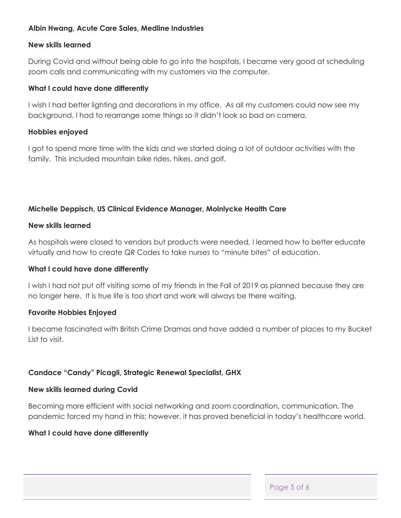## **Albin Hwang, Acute Care Sales, Medline Industries**

## **New skills learned**

During Covid and without being able to go into the hospitals, I became very good at scheduling zoom calls and communicating with my customers via the computer.

## **What I could have done differently**

I wish I had better lighting and decorations in my office. As all my customers could now see my background, I had to rearrange some things so it didn't look so bad on camera.

## **Hobbies enjoyed**

I got to spend more time with the kids and we started doing a lot of outdoor activities with the family. This included mountain bike rides, hikes, and golf.

## **Michelle Deppisch, US Clinical Evidence Manager, Molnlycke Health Care**

## **New skills learned**

As hospitals were closed to vendors but products were needed, I learned how to better educate virtually and how to create QR Codes to take nurses to "minute bites" of education.

## **What I could have done differently**

I wish I had not put off visiting some of my friends in the Fall of 2019 as planned because they are no longer here. It is true life is too short and work will always be there waiting.

## **Favorite Hobbies Enjoyed**

I became fascinated with British Crime Dramas and have added a number of places to my Bucket List to visit.

## **Candace "Candy" Picagli, Strategic Renewal Specialist, GHX**

#### **New skills learned during Covid**

Becoming more efficient with social networking and zoom coordination, communication. The pandemic forced my hand in this; however, it has proved beneficial in today's healthcare world.

#### **What I could have done differently**

Page 5 of 6